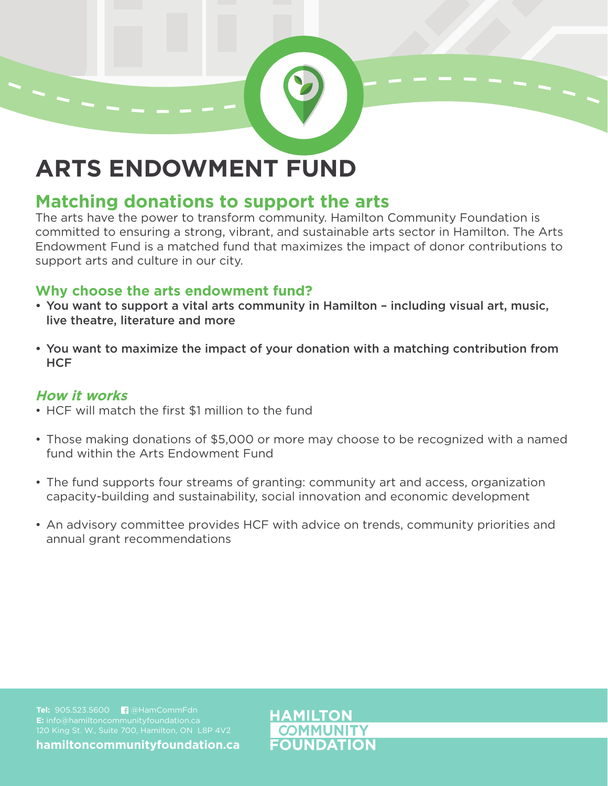

### **Matching donations to support the arts**

The arts have the power to transform community. Hamilton Community Foundation is committed to ensuring a strong, vibrant, and sustainable arts sector in Hamilton. The Arts Endowment Fund is a matched fund that maximizes the impact of donor contributions to support arts and culture in our city.

### **Why choose the arts endowment fund?**

- You want to support a vital arts community in Hamilton including visual art, music, live theatre, literature and more
- You want to maximize the impact of your donation with a matching contribution from **HCF**

#### **How it works**

- HCF will match the first \$1 million to the fund
- Those making donations of \$5,000 or more may choose to be recognized with a named fund within the Arts Endowment Fund
- The fund supports four streams of granting: community art and access, organization capacity-building and sustainability, social innovation and economic development
- An advisory committee provides HCF with advice on trends, community priorities and annual grant recommendations

**Tel:** 905.523.5600 **[**a @HamCommFdn] **E:** info@hamiltoncommunityfoundation.ca 120 King St. W., Suite 700, Hamilton, ON L8P 4V2

**hamiltoncommunityfoundation.ca**

**HAMILTON COMMUNITY FOUNDATION**